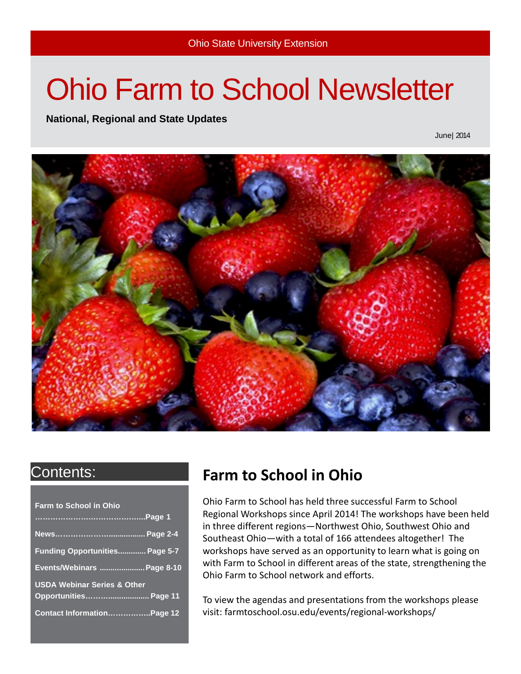# Ohio Farm to School Newsletter

**National, Regional and State Updates**

June| 2014



| Funding Opportunities Page 5-7<br>Events/Webinars  Page 8-10 |
|--------------------------------------------------------------|
|                                                              |
| Opportunities Page 11                                        |
| Contact InformationPage 12                                   |
|                                                              |

### Contents: **Farm to School in Ohio**

Ohio Farm to School has held three successful Farm to School Regional Workshops since April 2014! The workshops have been held in three different regions—Northwest Ohio, Southwest Ohio and Southeast Ohio—with a total of 166 attendees altogether! The workshops have served as an opportunity to learn what is going on with Farm to School in different areas of the state, strengthening the Ohio Farm to School network and efforts.

To view the agendas and presentations from the workshops please visit: farmtoschool.osu.edu/events/regional-workshops/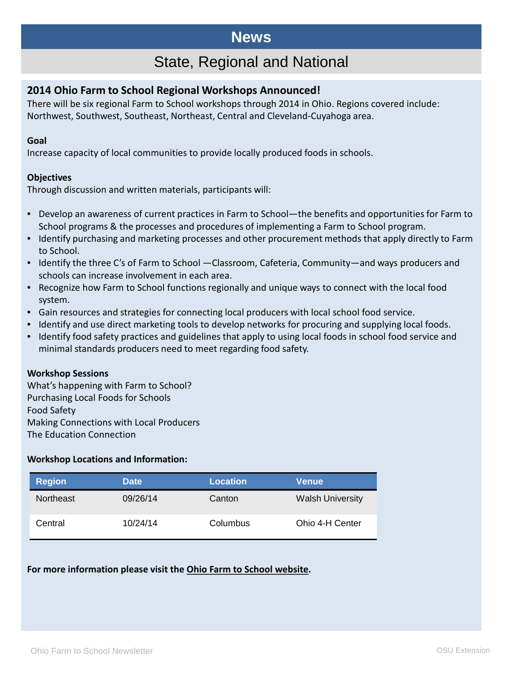### **News**

### State, Regional and National

#### **2014 Ohio Farm to School Regional Workshops Announced!**

There will be six regional Farm to School workshops through 2014 in Ohio. Regions covered include: Northwest, Southwest, Southeast, Northeast, Central and Cleveland-Cuyahoga area.

#### **Goal**

Increase capacity of local communities to provide locally produced foods in schools.

#### **Objectives**

Through discussion and written materials, participants will:

- Develop an awareness of current practices in Farm to School—the benefits and opportunities for Farm to School programs & the processes and procedures of implementing a Farm to School program.
- Identify purchasing and marketing processes and other procurement methods that apply directly to Farm to School.
- Identify the three C's of Farm to School —Classroom, Cafeteria, Community—and ways producers and schools can increase involvement in each area.
- Recognize how Farm to School functions regionally and unique ways to connect with the local food system.
- Gain resources and strategies for connecting local producers with local school food service.
- Identify and use direct marketing tools to develop networks for procuring and supplying local foods.
- Identify food safety practices and guidelines that apply to using local foods in school food service and minimal standards producers need to meet regarding food safety.

#### **Workshop Sessions**

What's happening with Farm to School? Purchasing Local Foods for Schools Food Safety Making Connections with Local Producers The Education Connection

#### **Workshop Locations and Information:**

| <b>Region</b> | <b>Date</b> | <b>Location</b> | Venue                   |
|---------------|-------------|-----------------|-------------------------|
| Northeast     | 09/26/14    | Canton          | <b>Walsh University</b> |
| Central       | 10/24/14    | Columbus        | Ohio 4-H Center         |

#### **For more information please visit the Ohio Farm to School website.**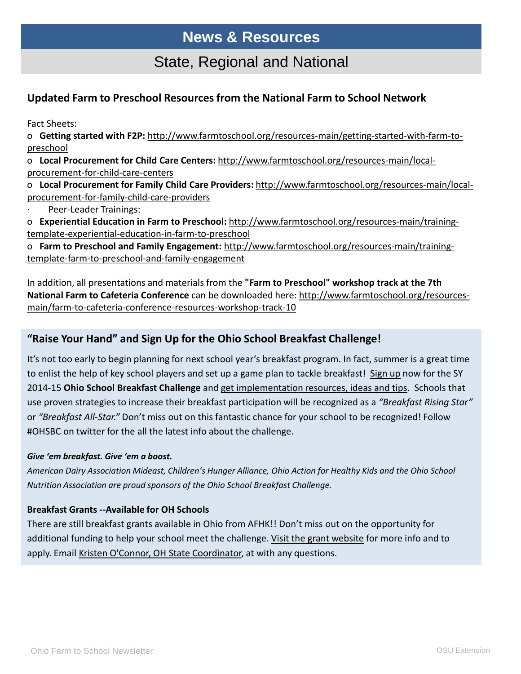### **News & Resources**

### State, Regional and National

#### **Updated Farm to Preschool Resources from the National Farm to School Network**

Fact Sheets:

o **Getting started with F2P:** [http://www.farmtoschool.org/resources-main/getting-started-with-farm-to](http://www.farmtoschool.org/resources-main/getting-started-with-farm-to-preschool)preschool

o **Local Procurement for Child Care Centers:** [http://www.farmtoschool.org/resources-main/local](http://www.farmtoschool.org/resources-main/local-procurement-for-child-care-centers)procurement-for-child-care-centers

o **Local Procurement for Family Child Care Providers:** [http://www.farmtoschool.org/resources-main/local](http://www.farmtoschool.org/resources-main/local-procurement-for-family-child-care-providers)procurement-for-family-child-care-providers

Peer-Leader Trainings:

o **Experiential Education in Farm to Preschool:** [http://www.farmtoschool.org/resources-main/training](http://www.farmtoschool.org/resources-main/training-template-experiential-education-in-farm-to-preschool)template-experiential-education-in-farm-to-preschool

o **Farm to Preschool and Family Engagement:** [http://www.farmtoschool.org/resources-main/training](http://www.farmtoschool.org/resources-main/training-template-farm-to-preschool-and-family-engagement)template-farm-to-preschool-and-family-engagement

In addition, all presentations and materials from the **"Farm to Preschool" workshop track at the 7th National Farm to Cafeteria Conference** can be downloaded here: http://www.farmtoschool.org/resources[main/farm-to-cafeteria-conference-resources-workshop-track-10](http://www.farmtoschool.org/resources-main/farm-to-cafeteria-conference-resources-workshop-track-10)

#### **"Raise Your Hand" and Sign Up for the Ohio School Breakfast Challenge!**

It's not too early to begin planning for next school year's breakfast program. In fact, summer is a great time to enlist the help of key school players and set up a game plan to tackle breakfast! [Sign up](http://www2.actionforhealthykids.org/e/21152/2014-06-11/92g7z/96943727) now for the SY 2014-15 **Ohio School Breakfast Challenge** and [get implementation resources, ideas and tips.](http://www2.actionforhealthykids.org/e/21152/2014-06-11/92g7z/96943727) Schools that use proven strategies to increase their breakfast participation will be recognized as a *"Breakfast Rising Star"* or *"Breakfast All-Star."* Don't miss out on this fantastic chance for your school to be recognized! Follow #OHSBC on twitter for the all the latest info about the challenge.

#### *Give 'em breakfast. Give 'em a boost.*

*American Dairy Association Mideast, Children's Hunger Alliance, Ohio Action for Healthy Kids and the Ohio School Nutrition Association are proud sponsors of the Ohio School Breakfast Challenge.*

#### **Breakfast Grants --Available for OH Schools**

There are still breakfast grants available in Ohio from AFHK!! Don't miss out on the opportunity for additional funding to help your school meet the challenge. [Visit the grant website](http://www2.actionforhealthykids.org/e/21152/resources-school-grants/92g82/96943727) for more info and to apply. Email [Kristen O'Connor, OH State Coordinator,](mailto:koconnor@actionforhealthykids.org) at with any questions.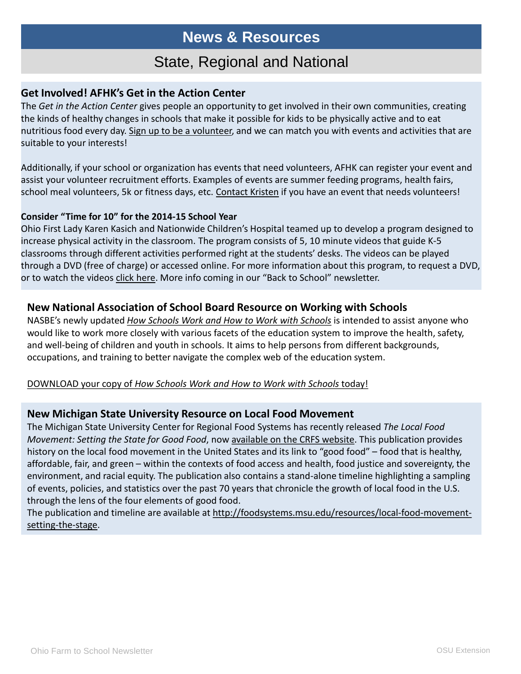### **News & Resources**

### State, Regional and National

#### **Get Involved! AFHK's Get in the Action Center**

The *Get in the Action Center* gives people an opportunity to get involved in their own communities, creating the kinds of healthy changes in schools that make it possible for kids to be physically active and to eat nutritious food every day. [Sign up to be a volunteer,](http://www2.actionforhealthykids.org/e/21152/ntent-CMSId-a0UE000000027HgMAI/92g88/96943727) and we can match you with events and activities that are suitable to your interests!

Additionally, if your school or organization has events that need volunteers, AFHK can register your event and assist your volunteer recruitment efforts. Examples of events are summer feeding programs, health fairs, school meal volunteers, 5k or fitness days, etc. [Contact Kristen](mailto:koconnor@actionforhealthykids.org) if you have an event that needs volunteers!

#### **Consider "Time for 10" for the 2014-15 School Year**

Ohio First Lady Karen Kasich and Nationwide Children's Hospital teamed up to develop a program designed to increase physical activity in the classroom. The program consists of 5, 10 minute videos that guide K-5 classrooms through different activities performed right at the students' desks. The videos can be played through a DVD (free of charge) or accessed online. For more information about this program, to request a DVD, or to watch the videos [click here.](http://www2.actionforhealthykids.org/e/21152/time-for-10-videos/92g8b/96943727) More info coming in our "Back to School" newsletter.

#### **New National Association of School Board Resource on Working with Schools**

NASBE's newly updated *[How Schools Work and How to Work with Schools](http://nasbe.us1.list-manage1.com/track/click?u=7e36539e7ac7c6e6ffbb95b94&id=29cd805608&e=64af96af5f)* is intended to assist anyone who would like to work more closely with various facets of the education system to improve the health, safety, and well-being of children and youth in schools. It aims to help persons from different backgrounds, occupations, and training to better navigate the complex web of the education system.

#### DOWNLOAD your copy of *[How Schools Work and How to Work with Schools](http://nasbe.us1.list-manage.com/track/click?u=7e36539e7ac7c6e6ffbb95b94&id=a5a19997e8&e=64af96af5f)* today!

#### **New Michigan State University Resource on Local Food Movement**

The Michigan State University Center for Regional Food Systems has recently released *The Local Food Movement: Setting the State for Good Food*, now [available on the CRFS website.](http://foodsystems.msu.edu/resources/local-food-movement-setting-the-stage) This publication provides history on the local food movement in the United States and its link to "good food" – food that is healthy, affordable, fair, and green – within the contexts of food access and health, food justice and sovereignty, the environment, and racial equity. The publication also contains a stand-alone timeline highlighting a sampling of events, policies, and statistics over the past 70 years that chronicle the growth of local food in the U.S. through the lens of the four elements of good food.

The publication and timeline are available at [http://foodsystems.msu.edu/resources/local-food-movement](http://foodsystems.msu.edu/resources/local-food-movement-setting-the-stage)setting-the-stage.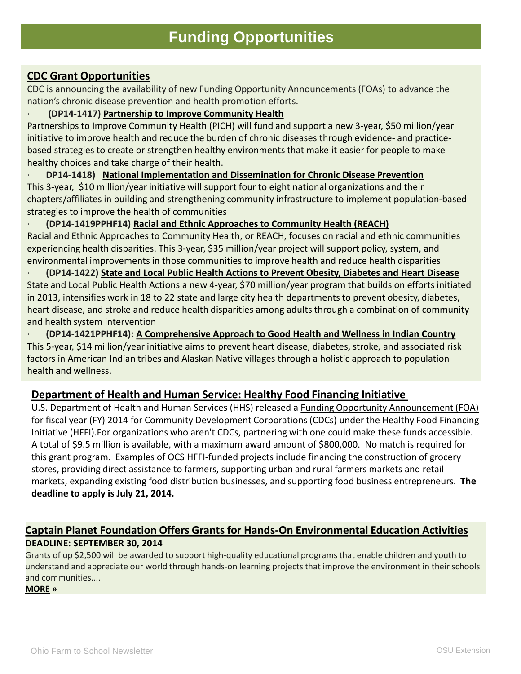#### **CDC Grant Opportunities**

CDC is announcing the availability of new Funding Opportunity Announcements (FOAs) to advance the nation's chronic disease prevention and health promotion efforts.

· **(DP14-1417) [Partnership to Improve Community Health](http://www.cdc.gov/chronicdisease/about/PICH/)**

Partnerships to Improve Community Health (PICH) will fund and support a new 3-year, \$50 million/year initiative to improve health and reduce the burden of chronic diseases through evidence- and practicebased strategies to create or strengthen healthy environments that make it easier for people to make healthy choices and take charge of their health.

· **DP14-1418) [National Implementation and Dissemination for Chronic Disease Prevention](http://www.cdc.gov/chronicdisease/about%20/PICHORGS/)** This 3-year, \$10 million/year initiative will support four to eight national organizations and their chapters/affiliates in building and strengthening community infrastructure to implement population-based strategies to improve the health of communities

· **(DP14-1419PPHF14) [Racial and Ethnic Approaches to Community Health \(REACH\)](http://www.cdc.gov/chronicdisease/about/reach/index.htm)** Racial and Ethnic Approaches to Community Health, or REACH, focuses on racial and ethnic communities experiencing health disparities. This 3-year, \$35 million/year project will support policy, system, and environmental improvements in those communities to improve health and reduce health disparities

· **(DP14-1422) [State and Local Public Health Actions to Prevent Obesity, Diabetes and Heart Disease](http://www.cdc.gov/chronicdisease/about/statelocalpubhealthactions-prevcd/index.htm)** State and Local Public Health Actions a new 4-year, \$70 million/year program that builds on efforts initiated in 2013, intensifies work in 18 to 22 state and large city health departments to prevent obesity, diabetes, heart disease, and stroke and reduce health disparities among adults through a combination of community and health system intervention

· **(DP14-1421PPHF14): [A Comprehensive Approach to Good Health and Wellness in Indian Country](http://www.cdc.gov/chronicdisease/about/tribalhealthwellness/index.htm)** This 5-year, \$14 million/year initiative aims to prevent heart disease, diabetes, stroke, and associated risk factors in American Indian tribes and Alaskan Native villages through a holistic approach to population health and wellness.

#### **[Department of Health and Human Service: Healthy Food Financing Initiative](http://sustainableagriculture.net/blog/hffi-funding-opportunity/)**

[U.S. Department of Health and Human Services \(HHS\) released a](http://www.acf.hhs.gov/grants/open/foa/files/HHS-2014-ACF-OCS-EE-0819_0.pdf) Funding Opportunity Announcement (FOA) for fiscal year (FY) 2014 for Community Development Corporations (CDCs) under the Healthy Food Financing Initiative (HFFI).For organizations who aren't CDCs, partnering with one could make these funds accessible. A total of \$9.5 million is available, with a maximum award amount of \$800,000. No match is required for this grant program. Examples of OCS HFFI-funded projects include financing the construction of grocery stores, providing direct assistance to farmers, supporting urban and rural farmers markets and retail markets, expanding existing food distribution businesses, and supporting food business entrepreneurs. **The deadline to apply is July 21, 2014.**

#### **[Captain Planet Foundation Offers Grants for Hands-On Environmental Education Activities](http://alerts.foundationcenter.org/wf/click?upn=EtzAQyAf-2BGfyMNv7OFOFLJc3FOJehlmWSIhH7CrjKBBzUNLZC-2BMVLJB2wGlSk1uZLivShZ0fAOT4-2FvIFz-2FVZeMEM-2B4WZg679Az0VQavVP1ih-2BeCpjizEDmrbj0AP8MbVXJ11Tx4H7T1kuZRHKGidq-2BIxxDsQfvfhfOLS1nYMeEbXZK6YFNY2s5UGccefCih-2B_3AYNyyX-2B0gAl-2FJAvuzlJFkbvMLEkKBc-2Fi3I-2BSNu7PBBTA7VNWWjBtqOa42mAsLIKK2k8L5qZFv-2BTM0mHDjolGg4NTtqpJzxjElvb-2F-2BKy-2B5YRthWagVLdoJdKBOeuA96q1HIeJpHo8Rbet-2BqghGedSFb3HqwhflrNIzyUSjGtm2IfJ-2FhtGc8-2Fc5sC-2BzY6lecxq6VnOh2wnZzrP1eZZBZAAkq3yirAqwCoK0GmCsJ) DEADLINE: SEPTEMBER 30, 2014**

Grants of up \$2,500 will be awarded to support high-quality educational programs that enable children and youth to understand and appreciate our world through hands-on learning projects that improve the environment in their schools and communities....

**[MORE](http://alerts.foundationcenter.org/wf/click?upn=EtzAQyAf-2BGfyMNv7OFOFLJc3FOJehlmWSIhH7CrjKBBzUNLZC-2BMVLJB2wGlSk1uZLivShZ0fAOT4-2FvIFz-2FVZeMEM-2B4WZg679Az0VQavVP1ih-2BeCpjizEDmrbj0AP8MbVXJ11Tx4H7T1kuZRHKGidq-2BIxxDsQfvfhfOLS1nYMeEbXZK6YFNY2s5UGccefCih-2B_3AYNyyX-2B0gAl-2FJAvuzlJFkbvMLEkKBc-2Fi3I-2BSNu7PBBTA7VNWWjBtqOa42mAsLIKK2k8L5qZFv-2BTM0mHDjolGn1b9HN2YKKgOmASSPipYLwS19NQ-2Bv9YFlGttKouAd4HPqCTZy-2Bsty3qlvzkEKu5lv7FHXfsPzfQ86VzfqtSFKJNfn-2BAKwyYJxSkgpTUFJPrJP1XhfCgvj9D6el3KIckGSzIiD6x9IrbkNFoCiqoJztQBR2) »**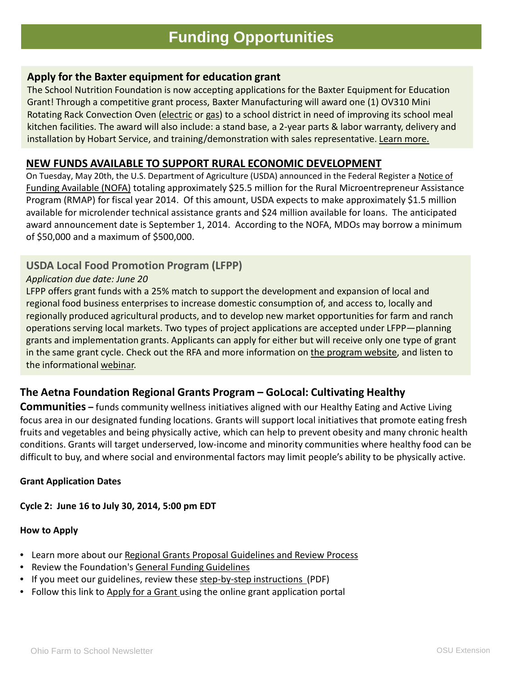#### **Apply for the Baxter equipment for education grant**

The School Nutrition Foundation is now accepting applications for the Baxter Equipment for Education Grant! Through a competitive grant process, Baxter Manufacturing will award one (1) OV310 Mini Rotating Rack Convection Oven [\(electric](http://r.smartbrief.com/resp/fOrIClvqrbCDstpiCidmzrCicNyRVy) or [gas\)](http://r.smartbrief.com/resp/fOrIClvqrbCDstpjCidmzrCicNKKib) to a school district in need of improving its school meal kitchen facilities. The award will also include: a stand base, a 2-year parts & labor warranty, delivery and installation by Hobart Service, and training/demonstration with sales representative. [Learn more.](http://r.smartbrief.com/resp/fOrIClvqrbCDstpmCidmzrCicNNUNr)

#### **[NEW FUNDS AVAILABLE TO SUPPORT RURAL ECONOMIC DEVELOPMENT](http://sustainableagriculture.net/blog/rmap-funds-available-may-2014/)**

On Tuesday, May 20th, the U.S. Department of Agriculture (USDA) announced in the Federal Register a Notice of Funding Available (NOFA) [totaling approximately \\$25.5 million for the Rural Microentrepreneur](http://www.gpo.gov/fdsys/pkg/FR-2014-05-20/pdf/2014-11447.pdf) Assistance Program (RMAP) for fiscal year 2014. Of this amount, USDA expects to make approximately \$1.5 million available for microlender technical assistance grants and \$24 million available for loans. The anticipated award announcement date is September 1, 2014. According to the NOFA, MDOs may borrow a minimum of \$50,000 and a maximum of \$500,000.

#### **USDA Local Food Promotion Program (LFPP)**

#### *Application due date: June 20*

LFPP offers grant funds with a 25% match to support the development and expansion of local and regional food business enterprises to increase domestic consumption of, and access to, locally and regionally produced agricultural products, and to develop new market opportunities for farm and ranch operations serving local markets. Two types of project applications are accepted under LFPP—planning grants and implementation grants. Applicants can apply for either but will receive only one type of grant in the same grant cycle. Check out the RFA and more information on [the program website,](http://wallacecenter.us1.list-manage.com/track/click?u=f6e853d37c1ed4db967a79125&id=4c16cc9fac&e=5b7ed93040) and listen to the informational [webinar.](http://wallacecenter.us1.list-manage2.com/track/click?u=f6e853d37c1ed4db967a79125&id=1785b98e51&e=5b7ed93040)

#### **The Aetna Foundation Regional Grants Program – GoLocal: Cultivating Healthy**

**Communities –** funds community wellness initiatives aligned with our Healthy Eating and Active Living focus area in our designated funding locations. Grants will support local initiatives that promote eating fresh fruits and vegetables and being physically active, which can help to prevent obesity and many chronic health conditions. Grants will target underserved, low-income and minority communities where healthy food can be difficult to buy, and where social and environmental factors may limit people's ability to be physically active.

#### **Grant Application Dates**

#### **Cycle 2: June 16 to July 30, 2014, 5:00 pm EDT**

#### **How to Apply**

- Learn more about our [Regional Grants Proposal Guidelines and Review Process](http://www.aetna-foundation.org/foundation/apply-for-a-grant/regional-grants/regional-grants-application-guidelines.html)
- Review the Foundation's General Funding Guidelines
- If you meet our guidelines, review these [step-by-step instructions \(](http://www.aetna-foundation.org/foundation/assets/documents/regional-grant-application-instructions.pdf)PDF)
- Follow this link to [Apply for a Grant](https://www.foundationconnect.org/grantsmanager/Pages/V3/Portal/eligibilityquiz.aspx?OrgID=00DA0000000APsi&QuizID=a0LA000000FhDxm&lang=en) using the online grant application portal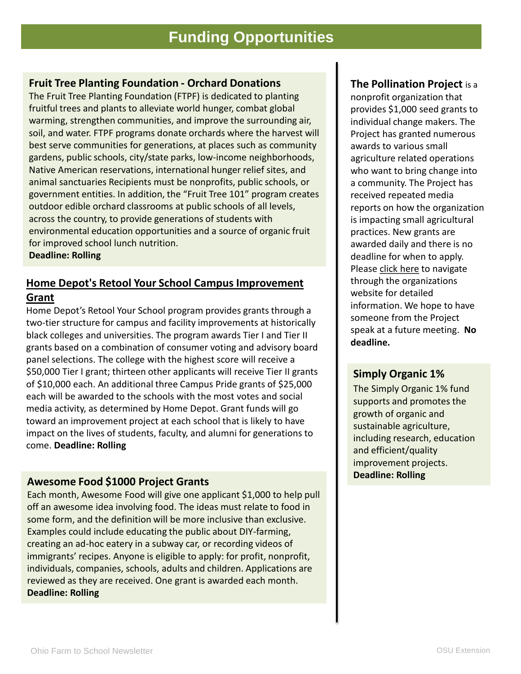### **Funding Opportunities**

#### **Fruit Tree Planting Foundation - Orchard Donations**

The Fruit Tree Planting Foundation (FTPF) is dedicated to planting fruitful trees and plants to alleviate world hunger, combat global warming, strengthen communities, and improve the surrounding air, soil, and water. FTPF programs donate orchards where the harvest will best serve communities for generations, at places such as community gardens, public schools, city/state parks, low-income neighborhoods, Native American reservations, international hunger relief sites, and animal sanctuaries Recipients must be nonprofits, public schools, or government entities. In addition, the "Fruit Tree 101" program creates outdoor edible orchard classrooms at public schools of all levels, across the country, to provide generations of students with environmental education opportunities and a source of organic fruit for improved school lunch nutrition.

**Deadline: Rolling** 

### **[Home Depot's Retool Your School Campus Improvement](http://philanthropynewsdigest.org/rfps/rfp4446-home-depot-accepting-applications-for-historically-black-colleges-and-universities-improvement-grant-program)  Grant**

Home Depot's Retool Your School program provides grants through a two-tier structure for campus and facility improvements at historically black colleges and universities. The program awards Tier I and Tier II grants based on a combination of consumer voting and advisory board panel selections. The college with the highest score will receive a \$50,000 Tier I grant; thirteen other applicants will receive Tier II grants of \$10,000 each. An additional three Campus Pride grants of \$25,000 each will be awarded to the schools with the most votes and social media activity, as determined by Home Depot. Grant funds will go toward an improvement project at each school that is likely to have impact on the lives of students, faculty, and alumni for generations to come. **Deadline: Rolling** 

#### **Awesome Food \$1000 Project Grants**

Each month, Awesome Food will give one applicant \$1,000 to help pull off an awesome idea involving food. The ideas must relate to food in some form, and the definition will be more inclusive than exclusive. Examples could include educating the public about DIY-farming, creating an ad-hoc eatery in a subway car, or recording videos of immigrants' recipes. Anyone is eligible to apply: for profit, nonprofit, individuals, companies, schools, adults and children. Applications are reviewed as they are received. One grant is awarded each month. **Deadline: Rolling** 

#### **The Pollination Project** is a

nonprofit organization that provides \$1,000 seed grants to individual change makers. The Project has granted numerous awards to various small agriculture related operations who want to bring change into a community. The Project has received repeated media reports on how the organization is impacting small agricultural practices. New grants are awarded daily and there is no deadline for when to apply. Please [click here](http://thepollinationproject.org/) to navigate through the organizations website for detailed information. We hope to have someone from the Project speak at a future meeting. **No deadline.**

#### **Simply Organic 1%**

The Simply Organic 1% fund supports and promotes the growth of organic and sustainable agriculture, including research, education and efficient/quality improvement projects. **Deadline: Rolling**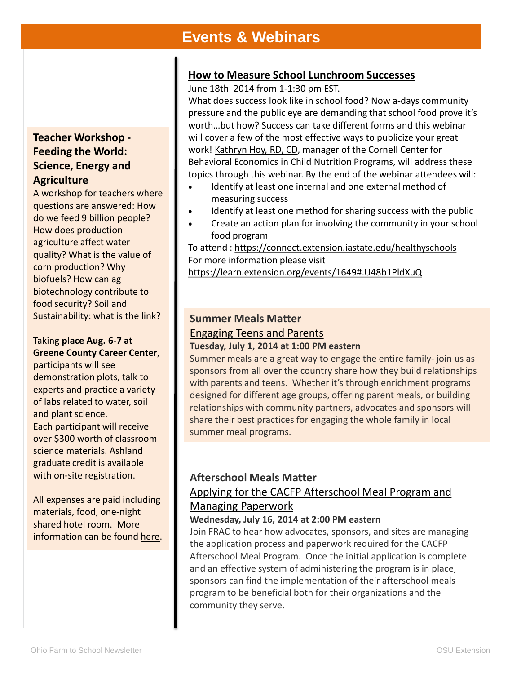### **Events & Webinars**

#### **[How to Measure School Lunchroom Successes](https://learn.extension.org/events/1649%23.U48b1PldXuQ)**

June 18th 2014 from 1-1:30 pm EST.

What does success look like in school food? Now a-days community pressure and the public eye are demanding that school food prove it's worth…but how? Success can take different forms and this webinar will cover a few of the most effective ways to publicize your great work! [Kathryn Hoy, RD, CD,](http://www.extension.org/pages/68784/kathryn-hoy%23.U48mbvldXuQ) manager of the Cornell Center for Behavioral Economics in Child Nutrition Programs, will address these topics through this webinar. By the end of the webinar attendees will:

- Identify at least one internal and one external method of measuring success
- Identify at least one method for sharing success with the public
- Create an action plan for involving the community in your school food program

To attend : <https://connect.extension.iastate.edu/healthyschools> For more information please visit [https://learn.extension.org/events/1649#.U48b1PldXuQ](https://learn.extension.org/events/1649%23.U48b1PldXuQ)

### **Summer Meals Matter** [Engaging Teens and Parents](http://org2.salsalabs.com/dia/track.jsp?v=2&c=ep2vxzwQ/Lj%2BwI%2BO2EzEGDP8ukiEmh%2BD)

#### **Tuesday, July 1, 2014 at 1:00 PM eastern**

Summer meals are a great way to engage the entire family- join us as sponsors from all over the country share how they build relationships with parents and teens. Whether it's through enrichment programs designed for different age groups, offering parent meals, or building relationships with community partners, advocates and sponsors will share their best practices for engaging the whole family in local summer meal programs.

### **Afterschool Meals Matter**

### [Applying for the CACFP Afterschool Meal Program and](http://org2.salsalabs.com/dia/track.jsp?v=2&c=zVoWgSubHeTG0y70fQL7xDP8ukiEmh%2BD)  Managing Paperwork

#### **Wednesday, July 16, 2014 at 2:00 PM eastern**

Join FRAC to hear how advocates, sponsors, and sites are managing the application process and paperwork required for the CACFP Afterschool Meal Program. Once the initial application is complete and an effective system of administering the program is in place, sponsors can find the implementation of their afterschool meals program to be beneficial both for their organizations and the community they serve.

#### **Teacher Workshop - Feeding the World: Science, Energy and Agriculture**

A workshop for teachers where questions are answered: How do we feed 9 billion people? How does production agriculture affect water quality? What is the value of corn production? Why biofuels? How can ag biotechnology contribute to food security? Soil and Sustainability: what is the link?

#### Taking **place Aug. 6-7 at Greene County Career Center**,

participants will see demonstration plots, talk to experts and practice a variety of labs related to water, soil and plant science. Each participant will receive over \$300 worth of classroom science materials. Ashland graduate credit is available with on-site registration.

All expenses are paid including materials, food, one-night shared hotel room. More information can be found [here.](http://events.r20.constantcontact.com/register/event?oeidk=a07e8s5lxnve49b6785&llr=sgavj6dab)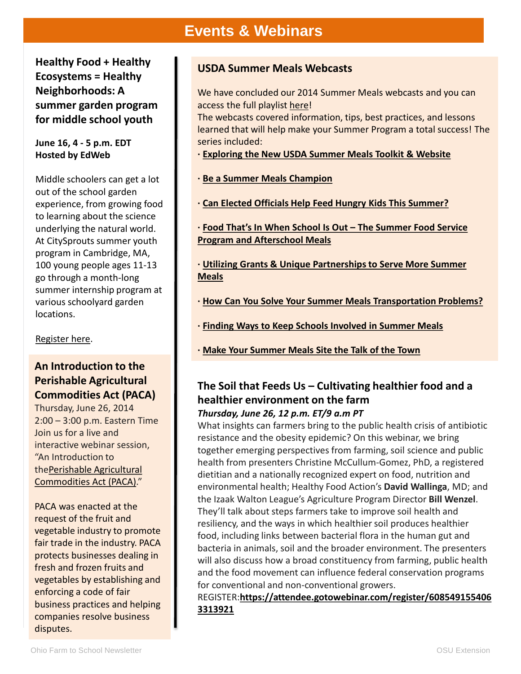### **Events & Webinars**

**Healthy Food + Healthy Ecosystems = Healthy Neighborhoods: A summer garden program for middle school youth**

#### **June 16, 4 - 5 p.m. EDT Hosted by EdWeb**

Middle schoolers can get a lot out of the school garden experience, from growing food to learning about the science underlying the natural world. At CitySprouts summer youth program in Cambridge, MA, 100 young people ages 11-13 go through a month-long summer internship program at various schoolyard garden locations.

[Register here](http://ow.ly/uUi1D).

#### **An Introduction to the Perishable Agricultural Commodities Act (PACA)**

Thursday, June 26, 2014 2:00 – 3:00 p.m. Eastern Time Join us for a live and interactive webinar session, "An Introduction to thePerishable Agricultural [Commodities Act \(PACA\)."](http://www.ams.usda.gov/paca)

PACA was enacted at the request of the fruit and vegetable industry to promote fair trade in the industry. PACA protects businesses dealing in fresh and frozen fruits and vegetables by establishing and enforcing a code of fair business practices and helping companies resolve business disputes.

#### **USDA Summer Meals Webcasts**

We have concluded our 2014 Summer Meals webcasts and you can access the full playlist [here!](http://links.govdelivery.com/track?type=click&enid=ZWFzPTEmbWFpbGluZ2lkPTIwMTQwNDI0LjMxNTgyNTUxJm1lc3NhZ2VpZD1NREItUFJELUJVTC0yMDE0MDQyNC4zMTU4MjU1MSZkYXRhYmFzZWlkPTEwMDEmc2VyaWFsPTE2OTkwOTQyJmVtYWlsaWQ9aGVsZW5AZmFybXRvc2Nob29sLm9yZyZ1c2VyaWQ9aGVsZW5AZmFybXRvc2Nob29sLm9yZyZmbD0mZXh0cmE9TXVsdGl2YXJpYXRlSWQ9JiYm&&&100&&&http://www.youtube.com/playlist?list=PLBccton6gOdrMM068BgMhlBuk-Xl2AhFq)

The webcasts covered information, tips, best practices, and lessons learned that will help make your Summer Program a total success! The series included:

- **· [Exploring the New USDA Summer Meals Toolkit & Website](http://links.govdelivery.com/track?type=click&enid=ZWFzPTEmbWFpbGluZ2lkPTIwMTQwNDI0LjMxNTgyNTUxJm1lc3NhZ2VpZD1NREItUFJELUJVTC0yMDE0MDQyNC4zMTU4MjU1MSZkYXRhYmFzZWlkPTEwMDEmc2VyaWFsPTE2OTkwOTQyJmVtYWlsaWQ9aGVsZW5AZmFybXRvc2Nob29sLm9yZyZ1c2VyaWQ9aGVsZW5AZmFybXRvc2Nob29sLm9yZyZmbD0mZXh0cmE9TXVsdGl2YXJpYXRlSWQ9JiYm&&&101&&&http://www.fns.usda.gov/sfsp-exploring-new-usda-summer-meals-toolkit-website)**
- **· [Be a Summer Meals Champion](http://links.govdelivery.com/track?type=click&enid=ZWFzPTEmbWFpbGluZ2lkPTIwMTQwNDI0LjMxNTgyNTUxJm1lc3NhZ2VpZD1NREItUFJELUJVTC0yMDE0MDQyNC4zMTU4MjU1MSZkYXRhYmFzZWlkPTEwMDEmc2VyaWFsPTE2OTkwOTQyJmVtYWlsaWQ9aGVsZW5AZmFybXRvc2Nob29sLm9yZyZ1c2VyaWQ9aGVsZW5AZmFybXRvc2Nob29sLm9yZyZmbD0mZXh0cmE9TXVsdGl2YXJpYXRlSWQ9JiYm&&&102&&&http://www.fns.usda.gov/be-summer-meals-champion)**
- **· [Can Elected Officials Help Feed Hungry Kids This Summer?](http://links.govdelivery.com/track?type=click&enid=ZWFzPTEmbWFpbGluZ2lkPTIwMTQwNDI0LjMxNTgyNTUxJm1lc3NhZ2VpZD1NREItUFJELUJVTC0yMDE0MDQyNC4zMTU4MjU1MSZkYXRhYmFzZWlkPTEwMDEmc2VyaWFsPTE2OTkwOTQyJmVtYWlsaWQ9aGVsZW5AZmFybXRvc2Nob29sLm9yZyZ1c2VyaWQ9aGVsZW5AZmFybXRvc2Nob29sLm9yZyZmbD0mZXh0cmE9TXVsdGl2YXJpYXRlSWQ9JiYm&&&103&&&http://www.fns.usda.gov/can-elected-officials-help-feed-hungry-kids-summer)**

**· [Food That's In When School Is Out –](http://links.govdelivery.com/track?type=click&enid=ZWFzPTEmbWFpbGluZ2lkPTIwMTQwNDI0LjMxNTgyNTUxJm1lc3NhZ2VpZD1NREItUFJELUJVTC0yMDE0MDQyNC4zMTU4MjU1MSZkYXRhYmFzZWlkPTEwMDEmc2VyaWFsPTE2OTkwOTQyJmVtYWlsaWQ9aGVsZW5AZmFybXRvc2Nob29sLm9yZyZ1c2VyaWQ9aGVsZW5AZmFybXRvc2Nob29sLm9yZyZmbD0mZXh0cmE9TXVsdGl2YXJpYXRlSWQ9JiYm&&&104&&&http://www.fns.usda.gov/food-thats-when-school-out-sfsp-and-afterschool-meals) The Summer Food Service Program and Afterschool Meals**

- **· [Utilizing Grants & Unique Partnerships to Serve More Summer](http://links.govdelivery.com/track?type=click&enid=ZWFzPTEmbWFpbGluZ2lkPTIwMTQwNDI0LjMxNTgyNTUxJm1lc3NhZ2VpZD1NREItUFJELUJVTC0yMDE0MDQyNC4zMTU4MjU1MSZkYXRhYmFzZWlkPTEwMDEmc2VyaWFsPTE2OTkwOTQyJmVtYWlsaWQ9aGVsZW5AZmFybXRvc2Nob29sLm9yZyZ1c2VyaWQ9aGVsZW5AZmFybXRvc2Nob29sLm9yZyZmbD0mZXh0cmE9TXVsdGl2YXJpYXRlSWQ9JiYm&&&105&&&http://www.fns.usda.gov/utilizing-grants-unique-partnerships-serve-more-summer-meals) Meals**
- **· [How Can You Solve Your Summer Meals Transportation Problems?](http://links.govdelivery.com/track?type=click&enid=ZWFzPTEmbWFpbGluZ2lkPTIwMTQwNDI0LjMxNTgyNTUxJm1lc3NhZ2VpZD1NREItUFJELUJVTC0yMDE0MDQyNC4zMTU4MjU1MSZkYXRhYmFzZWlkPTEwMDEmc2VyaWFsPTE2OTkwOTQyJmVtYWlsaWQ9aGVsZW5AZmFybXRvc2Nob29sLm9yZyZ1c2VyaWQ9aGVsZW5AZmFybXRvc2Nob29sLm9yZyZmbD0mZXh0cmE9TXVsdGl2YXJpYXRlSWQ9JiYm&&&106&&&http://www.fns.usda.gov/can-you-solve-your-summer-food-transportation-challenges)**
- **· [Finding Ways to Keep Schools Involved in Summer Meals](http://links.govdelivery.com/track?type=click&enid=ZWFzPTEmbWFpbGluZ2lkPTIwMTQwNDI0LjMxNTgyNTUxJm1lc3NhZ2VpZD1NREItUFJELUJVTC0yMDE0MDQyNC4zMTU4MjU1MSZkYXRhYmFzZWlkPTEwMDEmc2VyaWFsPTE2OTkwOTQyJmVtYWlsaWQ9aGVsZW5AZmFybXRvc2Nob29sLm9yZyZ1c2VyaWQ9aGVsZW5AZmFybXRvc2Nob29sLm9yZyZmbD0mZXh0cmE9TXVsdGl2YXJpYXRlSWQ9JiYm&&&107&&&http://www.fns.usda.gov/keeping-schools-involved-summer-meals)**
- **· [Make Your Summer Meals Site the Talk of the Town](http://links.govdelivery.com/track?type=click&enid=ZWFzPTEmbWFpbGluZ2lkPTIwMTQwNDI0LjMxNTgyNTUxJm1lc3NhZ2VpZD1NREItUFJELUJVTC0yMDE0MDQyNC4zMTU4MjU1MSZkYXRhYmFzZWlkPTEwMDEmc2VyaWFsPTE2OTkwOTQyJmVtYWlsaWQ9aGVsZW5AZmFybXRvc2Nob29sLm9yZyZ1c2VyaWQ9aGVsZW5AZmFybXRvc2Nob29sLm9yZyZmbD0mZXh0cmE9TXVsdGl2YXJpYXRlSWQ9JiYm&&&108&&&http://www.fns.usda.gov/make-your-summer-meals-site-talk-town)**

#### **The Soil that Feeds Us – Cultivating healthier food and a healthier environment on the farm** *Thursday, June 26, 12 p.m. ET/9 a.m PT*

What insights can farmers bring to the public health crisis of antibiotic resistance and the obesity epidemic? On this webinar, we bring together emerging perspectives from farming, soil science and public health from presenters Christine McCullum-Gomez, PhD, a registered dietitian and a nationally recognized expert on food, nutrition and environmental health; Healthy Food Action's **David Wallinga**, MD; and the Izaak Walton League's Agriculture Program Director **Bill Wenzel**. They'll talk about steps farmers take to improve soil health and resiliency, and the ways in which healthier soil produces healthier food, including links between bacterial flora in the human gut and bacteria in animals, soil and the broader environment. The presenters will also discuss how a broad constituency from farming, public health and the food movement can influence federal conservation programs for conventional and non-conventional growers.

REGISTER:**[https://attendee.gotowebinar.com/register/608549155406](https://attendee.gotowebinar.com/register/6085491554063313921) 3313921**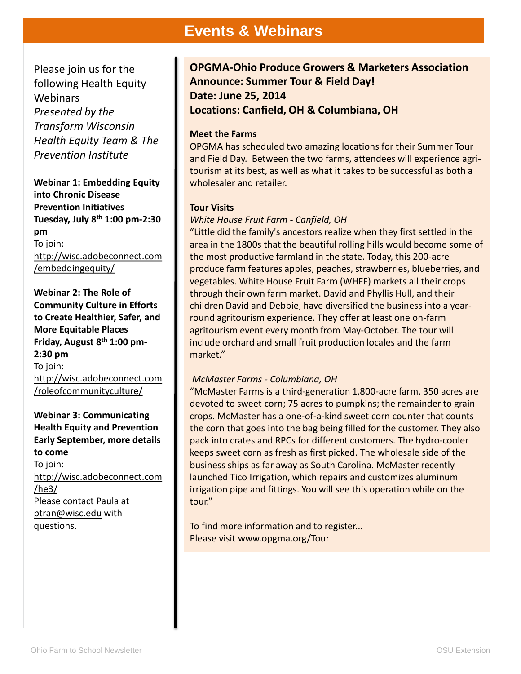### **Events & Webinars**

Please join us for the following Health Equity **Webinars** *Presented by the Transform Wisconsin Health Equity Team & The Prevention Institute*

**Webinar 1: Embedding Equity into Chronic Disease Prevention Initiatives Tuesday, July 8th 1:00 pm-2:30 pm** To join: [http://wisc.adobeconnect.com](http://wisc.adobeconnect.com/embeddingequity/) /embeddingequity/

**Webinar 2: The Role of Community Culture in Efforts to Create Healthier, Safer, and More Equitable Places Friday, August 8th 1:00 pm-2:30 pm** To join: [http://wisc.adobeconnect.com](http://wisc.adobeconnect.com/roleofcommunityculture/) /roleofcommunityculture/

**Webinar 3: Communicating Health Equity and Prevention Early September, more details to come** To join: [http://wisc.adobeconnect.com](http://wisc.adobeconnect.com/he3/) /he3/ Please contact Paula at [ptran@wisc.edu](mailto:ptran@wisc.edu) with questions.

**OPGMA-Ohio Produce Growers & Marketers Association Announce: Summer Tour & Field Day! Date: June 25, 2014 Locations: Canfield, OH & Columbiana, OH**

#### **Meet the Farms**

OPGMA has scheduled two amazing locations for their Summer Tour and Field Day. Between the two farms, attendees will experience agritourism at its best, as well as what it takes to be successful as both a wholesaler and retailer.

#### **Tour Visits**

#### *White House Fruit Farm - Canfield, OH*

"Little did the family's ancestors realize when they first settled in the area in the 1800s that the beautiful rolling hills would become some of the most productive farmland in the state. Today, this 200-acre produce farm features apples, peaches, strawberries, blueberries, and vegetables. White House Fruit Farm (WHFF) markets all their crops through their own farm market. David and Phyllis Hull, and their children David and Debbie, have diversified the business into a yearround agritourism experience. They offer at least one on-farm agritourism event every month from May-October. The tour will include orchard and small fruit production locales and the farm market."

#### *McMaster Farms - Columbiana, OH*

"McMaster Farms is a third-generation 1,800-acre farm. 350 acres are devoted to sweet corn; 75 acres to pumpkins; the remainder to grain crops. McMaster has a one-of-a-kind sweet corn counter that counts the corn that goes into the bag being filled for the customer. They also pack into crates and RPCs for different customers. The hydro-cooler keeps sweet corn as fresh as first picked. The wholesale side of the business ships as far away as South Carolina. McMaster recently launched Tico Irrigation, which repairs and customizes aluminum irrigation pipe and fittings. You will see this operation while on the tour."

To find more information and to register... Please visit www.opgma.org/Tour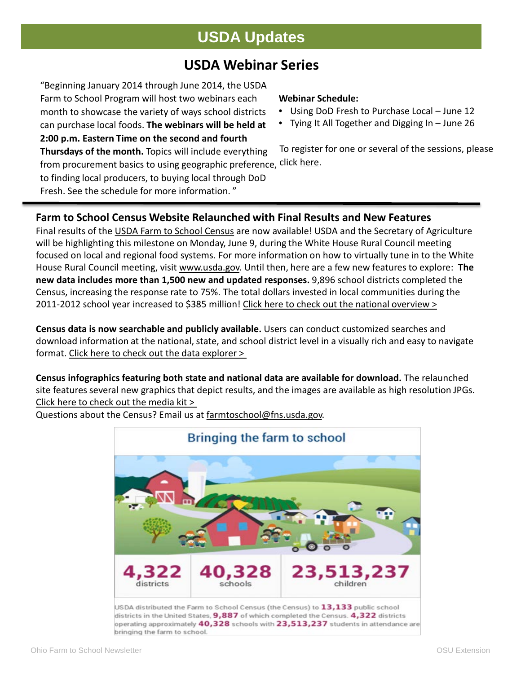### **USDA Updates**

### **USDA Webinar Series**

from procurement basics to using geographic preference, <sup>click</sup> [here](https://www.surveymonkey.com/s/WT8ZWYS). "Beginning January 2014 through June 2014, the USDA Farm to School Program will host two webinars each month to showcase the variety of ways school districts can purchase local foods. **The webinars will be held at 2:00 p.m. Eastern Time on the second and fourth Thursdays of the month.** Topics will include everything to finding local producers, to buying local through DoD

Fresh. See the schedule for more information. "

#### **Webinar Schedule:**

- Using DoD Fresh to Purchase Local June 12
- Tying It All Together and Digging In June 26

To register for one or several of the sessions, please

#### **Farm to School Census Website Relaunched with Final Results and New Features**

Final results of the [USDA Farm to School Census](http://links.govdelivery.com/track?type=click&enid=ZWFzPTEmbWFpbGluZ2lkPTIwMTQwNjAzLjMyNzUyNDQxJm1lc3NhZ2VpZD1NREItUFJELUJVTC0yMDE0MDYwMy4zMjc1MjQ0MSZkYXRhYmFzZWlkPTEwMDEmc2VyaWFsPTE3MDQ5NTU3JmVtYWlsaWQ9dmhlcmFsZEB3aXNjLmVkdSZ1c2VyaWQ9dmhlcmFsZEB3aXNjLmVkdSZmbD0mZXh0cmE9TXVsdGl2YXJpYXRlSWQ9JiYm&&&100&&&http://www.fns.usda.gov/farmtoschool/census%23/?utm_source=June&utm_medium=email&utm_campaign=newsletter) are now available! USDA and the Secretary of Agriculture will be highlighting this milestone on Monday, June 9, during the White House Rural Council meeting focused on local and regional food systems. For more information on how to virtually tune in to the White House Rural Council meeting, visit [www.usda.gov.](http://links.govdelivery.com/track?type=click&enid=ZWFzPTEmbWFpbGluZ2lkPTIwMTQwNjAzLjMyNzUyNDQxJm1lc3NhZ2VpZD1NREItUFJELUJVTC0yMDE0MDYwMy4zMjc1MjQ0MSZkYXRhYmFzZWlkPTEwMDEmc2VyaWFsPTE3MDQ5NTU3JmVtYWlsaWQ9dmhlcmFsZEB3aXNjLmVkdSZ1c2VyaWQ9dmhlcmFsZEB3aXNjLmVkdSZmbD0mZXh0cmE9TXVsdGl2YXJpYXRlSWQ9JiYm&&&101&&&http://www.usda.gov) Until then, here are a few new features to explore: **The new data includes more than 1,500 new and updated responses.** 9,896 school districts completed the Census, increasing the response rate to 75%. The total dollars invested in local communities during the 2011-2012 school year increased to \$385 million! [Click here to check out the national overview >](http://links.govdelivery.com/track?type=click&enid=ZWFzPTEmbWFpbGluZ2lkPTIwMTQwNjAzLjMyNzUyNDQxJm1lc3NhZ2VpZD1NREItUFJELUJVTC0yMDE0MDYwMy4zMjc1MjQ0MSZkYXRhYmFzZWlkPTEwMDEmc2VyaWFsPTE3MDQ5NTU3JmVtYWlsaWQ9dmhlcmFsZEB3aXNjLmVkdSZ1c2VyaWQ9dmhlcmFsZEB3aXNjLmVkdSZmbD0mZXh0cmE9TXVsdGl2YXJpYXRlSWQ9JiYm&&&102&&&http://www.fns.usda.gov/farmtoschool/census%23/?utm_source=June&utm_medium=email&utm_campaign=newsletter)

**Census data is now searchable and publicly available.** Users can conduct customized searches and download information at the national, state, and school district level in a visually rich and easy to navigate format. [Click here to check out the data explorer >](http://links.govdelivery.com/track?type=click&enid=ZWFzPTEmbWFpbGluZ2lkPTIwMTQwNjAzLjMyNzUyNDQxJm1lc3NhZ2VpZD1NREItUFJELUJVTC0yMDE0MDYwMy4zMjc1MjQ0MSZkYXRhYmFzZWlkPTEwMDEmc2VyaWFsPTE3MDQ5NTU3JmVtYWlsaWQ9dmhlcmFsZEB3aXNjLmVkdSZ1c2VyaWQ9dmhlcmFsZEB3aXNjLmVkdSZmbD0mZXh0cmE9TXVsdGl2YXJpYXRlSWQ9JiYm&&&103&&&http://www.fns.usda.gov/farmtoschool/census/explore/?utm_source=June&utm_medium=email&utm_campaign=newsletter)

**Census infographics featuring both state and national data are available for download.** The relaunched site features several new graphics that depict results, and the images are available as high resolution JPGs. [Click here to check out the media kit >](http://links.govdelivery.com/track?type=click&enid=ZWFzPTEmbWFpbGluZ2lkPTIwMTQwNjAzLjMyNzUyNDQxJm1lc3NhZ2VpZD1NREItUFJELUJVTC0yMDE0MDYwMy4zMjc1MjQ0MSZkYXRhYmFzZWlkPTEwMDEmc2VyaWFsPTE3MDQ5NTU3JmVtYWlsaWQ9dmhlcmFsZEB3aXNjLmVkdSZ1c2VyaWQ9dmhlcmFsZEB3aXNjLmVkdSZmbD0mZXh0cmE9TXVsdGl2YXJpYXRlSWQ9JiYm&&&104&&&http://www.fns.usda.gov/farmtoschool/census%23/media/?utm_source=June&utm_medium=email&utm_campaign=newsletter)



Questions about the Census? Email us at [farmtoschool@fns.usda.gov.](mailto:farmtoschool@fns.usda.gov)

USDA distributed the Farm to School Census (the Census) to 13,133 public school districts in the United States, 9,887 of which completed the Census. 4,322 districts operating approximately 40,328 schools with 23,513,237 students in attendance are bringing the farm to school.